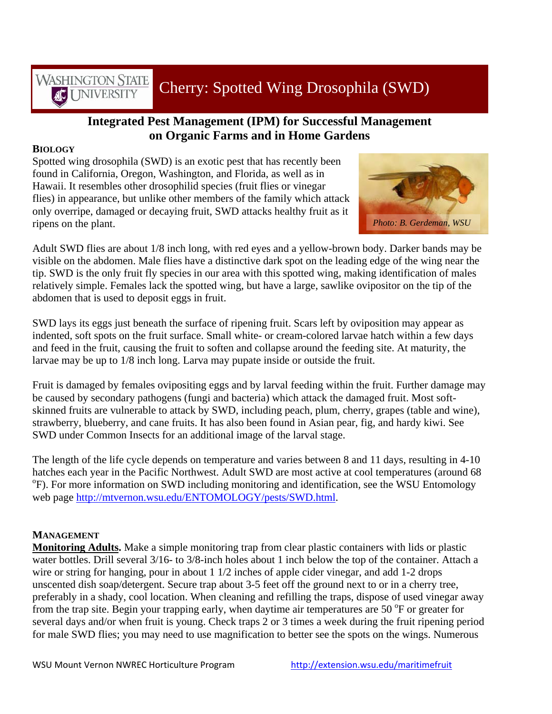Cherry: Spotted Wing Drosophila (SWD)

## **Integrated Pest Management (IPM) for Successful Management on Organic Farms and in Home Gardens**

## **BIOLOGY**

**WASHINGTON STATE** 

**INIVERSITY** 

Spotted wing drosophila (SWD) is an exotic pest that has recently been found in California, Oregon, Washington, and Florida, as well as in Hawaii. It resembles other drosophilid species (fruit flies or vinegar flies) in appearance, but unlike other members of the family which attack only overripe, damaged or decaying fruit, SWD attacks healthy fruit as it ripens on the plant. *Photo: B. Gerdeman, WSU*



Adult SWD flies are about 1/8 inch long, with red eyes and a yellow-brown body. Darker bands may be visible on the abdomen. Male flies have a distinctive dark spot on the leading edge of the wing near the tip. SWD is the only fruit fly species in our area with this spotted wing, making identification of males relatively simple. Females lack the spotted wing, but have a large, sawlike ovipositor on the tip of the abdomen that is used to deposit eggs in fruit.

SWD lays its eggs just beneath the surface of ripening fruit. Scars left by oviposition may appear as indented, soft spots on the fruit surface. Small white- or cream-colored larvae hatch within a few days and feed in the fruit, causing the fruit to soften and collapse around the feeding site. At maturity, the larvae may be up to 1/8 inch long. Larva may pupate inside or outside the fruit.

Fruit is damaged by females ovipositing eggs and by larval feeding within the fruit. Further damage may be caused by secondary pathogens (fungi and bacteria) which attack the damaged fruit. Most softskinned fruits are vulnerable to attack by SWD, including peach, plum, cherry, grapes (table and wine), strawberry, blueberry, and cane fruits. It has also been found in Asian pear, fig, and hardy kiwi. See SWD under Common Insects for an additional image of the larval stage.

The length of the life cycle depends on temperature and varies between 8 and 11 days, resulting in 4-10 hatches each year in the Pacific Northwest. Adult SWD are most active at cool temperatures (around 68 F). For more information on SWD including monitoring and identification, see the WSU Entomology web page <http://mtvernon.wsu.edu/ENTOMOLOGY/pests/SWD.html>.

## **MANAGEMENT**

**Monitoring Adults.** Make a simple monitoring trap from clear plastic containers with lids or plastic water bottles. Drill several 3/16- to 3/8-inch holes about 1 inch below the top of the container. Attach a wire or string for hanging, pour in about 1 1/2 inches of apple cider vinegar, and add 1-2 drops unscented dish soap/detergent. Secure trap about 3-5 feet off the ground next to or in a cherry tree, preferably in a shady, cool location. When cleaning and refilling the traps, dispose of used vinegar away from the trap site. Begin your trapping early, when daytime air temperatures are 50 °F or greater for several days and/or when fruit is young. Check traps 2 or 3 times a week during the fruit ripening period for male SWD flies; you may need to use magnification to better see the spots on the wings. Numerous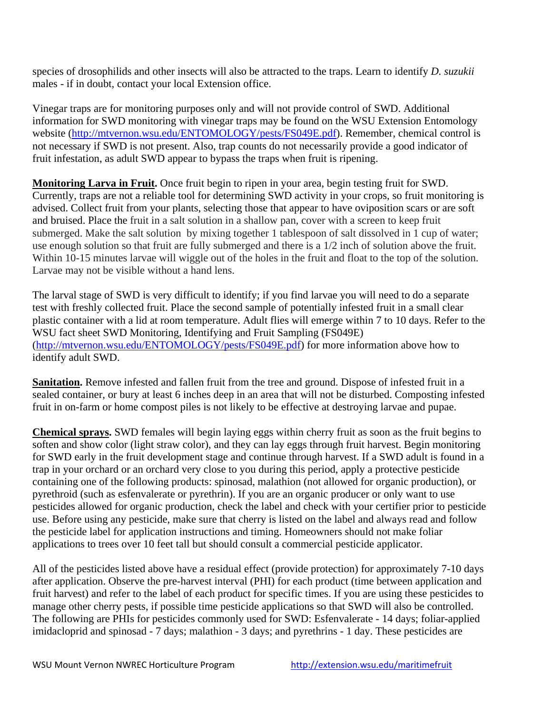species of drosophilids and other insects will also be attracted to the traps. Learn to identify *D. suzukii* males - if in doubt, contact your local Extension office.

Vinegar traps are for monitoring purposes only and will not provide control of SWD. Additional information for SWD monitoring with vinegar traps may be found on the WSU Extension Entomology website (<http://mtvernon.wsu.edu/ENTOMOLOGY/pests/FS049E.pdf>). Remember, chemical control is not necessary if SWD is not present. Also, trap counts do not necessarily provide a good indicator of fruit infestation, as adult SWD appear to bypass the traps when fruit is ripening.

**Monitoring Larva in Fruit.** Once fruit begin to ripen in your area, begin testing fruit for SWD. Currently, traps are not a reliable tool for determining SWD activity in your crops, so fruit monitoring is advised. Collect fruit from your plants, selecting those that appear to have oviposition scars or are soft and bruised. Place the fruit in a salt solution in a shallow pan, cover with a screen to keep fruit submerged. Make the salt solution by mixing together 1 tablespoon of salt dissolved in 1 cup of water; use enough solution so that fruit are fully submerged and there is a 1/2 inch of solution above the fruit. Within 10-15 minutes larvae will wiggle out of the holes in the fruit and float to the top of the solution. Larvae may not be visible without a hand lens.

The larval stage of SWD is very difficult to identify; if you find larvae you will need to do a separate test with freshly collected fruit. Place the second sample of potentially infested fruit in a small clear plastic container with a lid at room temperature. Adult flies will emerge within 7 to 10 days. Refer to the WSU fact sheet SWD Monitoring, Identifying and Fruit Sampling (FS049E) ([http://mtvernon.wsu.edu/ENTOMOLOGY/pests/FS049E.pdf\)](http://mtvernon.wsu.edu/ENTOMOLOGY/pests/FS049E.pdf) for more information above how to identify adult SWD.

**Sanitation.** Remove infested and fallen fruit from the tree and ground. Dispose of infested fruit in a sealed container, or bury at least 6 inches deep in an area that will not be disturbed. Composting infested fruit in on-farm or home compost piles is not likely to be effective at destroying larvae and pupae.

**Chemical sprays.** SWD females will begin laying eggs within cherry fruit as soon as the fruit begins to soften and show color (light straw color), and they can lay eggs through fruit harvest. Begin monitoring for SWD early in the fruit development stage and continue through harvest. If a SWD adult is found in a trap in your orchard or an orchard very close to you during this period, apply a protective pesticide containing one of the following products: spinosad, malathion (not allowed for organic production), or pyrethroid (such as esfenvalerate or pyrethrin). If you are an organic producer or only want to use pesticides allowed for organic production, check the label and check with your certifier prior to pesticide use. Before using any pesticide, make sure that cherry is listed on the label and always read and follow the pesticide label for application instructions and timing. Homeowners should not make foliar applications to trees over 10 feet tall but should consult a commercial pesticide applicator.

All of the pesticides listed above have a residual effect (provide protection) for approximately 7-10 days after application. Observe the pre-harvest interval (PHI) for each product (time between application and fruit harvest) and refer to the label of each product for specific times. If you are using these pesticides to manage other cherry pests, if possible time pesticide applications so that SWD will also be controlled. The following are PHIs for pesticides commonly used for SWD: Esfenvalerate - 14 days; foliar-applied imidacloprid and spinosad - 7 days; malathion - 3 days; and pyrethrins - 1 day. These pesticides are